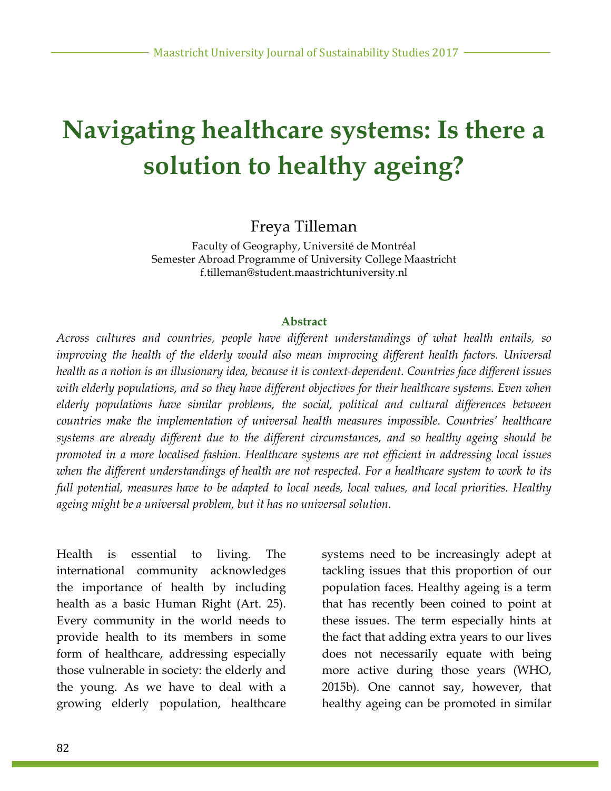# **Navigating healthcare systems: Is there a solution to healthy ageing?**

Freya Tilleman

Faculty of Geography, Université de Montréal Semester Abroad Programme of University College Maastricht f.tilleman@student.maastrichtuniversity.nl

#### **Abstract**

*Across cultures and countries, people have different understandings of what health entails, so improving the health of the elderly would also mean improving different health factors. Universal health as a notion is an illusionary idea, because it is context-dependent. Countries face different issues with elderly populations, and so they have different objectives for their healthcare systems. Even when elderly populations have similar problems, the social, political and cultural differences between countries make the implementation of universal health measures impossible. Countries' healthcare systems are already different due to the different circumstances, and so healthy ageing should be promoted in a more localised fashion. Healthcare systems are not efficient in addressing local issues when the different understandings of health are not respected. For a healthcare system to work to its full potential, measures have to be adapted to local needs, local values, and local priorities. Healthy ageing might be a universal problem, but it has no universal solution.*

Health is essential to living. The international community acknowledges the importance of health by including health as a basic Human Right (Art. 25). Every community in the world needs to provide health to its members in some form of healthcare, addressing especially those vulnerable in society: the elderly and the young. As we have to deal with a growing elderly population, healthcare

systems need to be increasingly adept at tackling issues that this proportion of our population faces. Healthy ageing is a term that has recently been coined to point at these issues. The term especially hints at the fact that adding extra years to our lives does not necessarily equate with being more active during those years (WHO, 2015b). One cannot say, however, that healthy ageing can be promoted in similar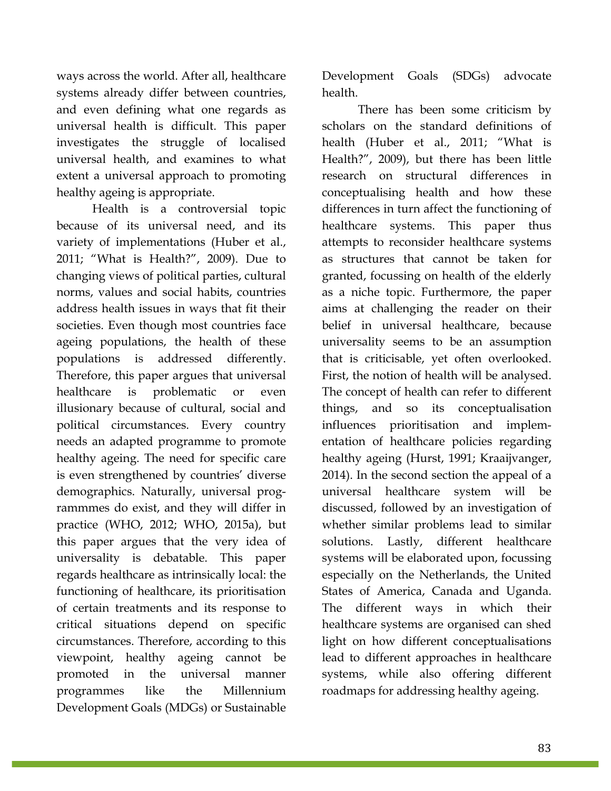ways across the world. After all, healthcare systems already differ between countries, and even defining what one regards as universal health is difficult. This paper investigates the struggle of localised universal health, and examines to what extent a universal approach to promoting healthy ageing is appropriate.

Health is a controversial topic because of its universal need, and its variety of implementations (Huber et al., 2011; "What is Health?", 2009). Due to changing views of political parties, cultural norms, values and social habits, countries address health issues in ways that fit their societies. Even though most countries face ageing populations, the health of these populations is addressed differently. Therefore, this paper argues that universal healthcare is problematic or even illusionary because of cultural, social and political circumstances. Every country needs an adapted programme to promote healthy ageing. The need for specific care is even strengthened by countries' diverse demographics. Naturally, universal programmmes do exist, and they will differ in practice (WHO, 2012; WHO, 2015a), but this paper argues that the very idea of universality is debatable. This paper regards healthcare as intrinsically local: the functioning of healthcare, its prioritisation of certain treatments and its response to critical situations depend on specific circumstances. Therefore, according to this viewpoint, healthy ageing cannot be promoted in the universal manner programmes like the Millennium Development Goals (MDGs) or Sustainable

Development Goals (SDGs) advocate health.

There has been some criticism by scholars on the standard definitions of health (Huber et al., 2011; "What is Health?", 2009), but there has been little research on structural differences in conceptualising health and how these differences in turn affect the functioning of healthcare systems. This paper thus attempts to reconsider healthcare systems as structures that cannot be taken for granted, focussing on health of the elderly as a niche topic. Furthermore, the paper aims at challenging the reader on their belief in universal healthcare, because universality seems to be an assumption that is criticisable, yet often overlooked. First, the notion of health will be analysed. The concept of health can refer to different things, and so its conceptualisation influences prioritisation and implementation of healthcare policies regarding healthy ageing (Hurst, 1991; Kraaijvanger, 2014). In the second section the appeal of a universal healthcare system will be discussed, followed by an investigation of whether similar problems lead to similar solutions. Lastly, different healthcare systems will be elaborated upon, focussing especially on the Netherlands, the United States of America, Canada and Uganda. The different ways in which their healthcare systems are organised can shed light on how different conceptualisations lead to different approaches in healthcare systems, while also offering different roadmaps for addressing healthy ageing.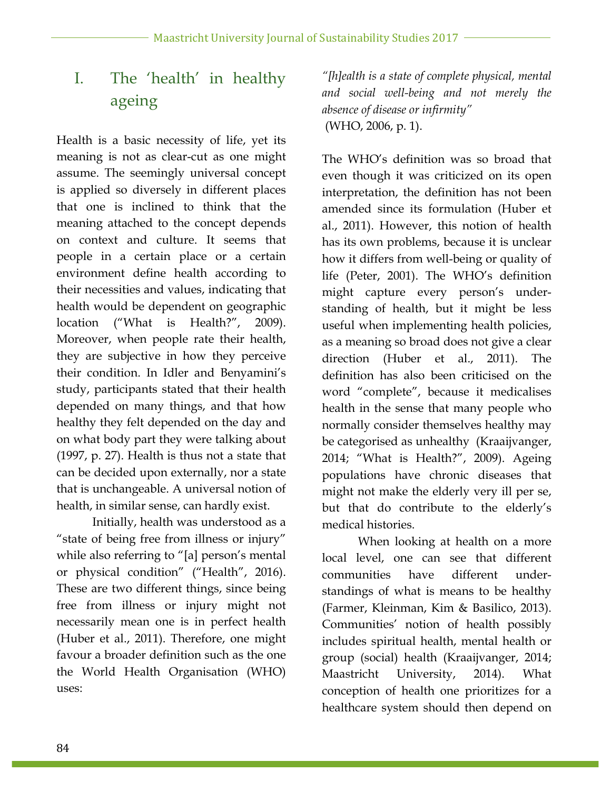# I. The 'health' in healthy ageing

Health is a basic necessity of life, yet its meaning is not as clear-cut as one might assume. The seemingly universal concept is applied so diversely in different places that one is inclined to think that the meaning attached to the concept depends on context and culture. It seems that people in a certain place or a certain environment define health according to their necessities and values, indicating that health would be dependent on geographic location ("What is Health?", 2009). Moreover, when people rate their health, they are subjective in how they perceive their condition. In Idler and Benyamini's study, participants stated that their health depended on many things, and that how healthy they felt depended on the day and on what body part they were talking about (1997, p. 27). Health is thus not a state that can be decided upon externally, nor a state that is unchangeable. A universal notion of health, in similar sense, can hardly exist.

Initially, health was understood as a "state of being free from illness or injury" while also referring to "[a] person's mental or physical condition" ("Health", 2016). These are two different things, since being free from illness or injury might not necessarily mean one is in perfect health (Huber et al., 2011). Therefore, one might favour a broader definition such as the one the World Health Organisation (WHO) uses:

*"[h]ealth is a state of complete physical, mental and social well-being and not merely the absence of disease or infirmity"* (WHO, 2006, p. 1).

The WHO's definition was so broad that even though it was criticized on its open interpretation, the definition has not been amended since its formulation (Huber et al., 2011). However, this notion of health has its own problems, because it is unclear how it differs from well-being or quality of life (Peter, 2001). The WHO's definition might capture every person's understanding of health, but it might be less useful when implementing health policies, as a meaning so broad does not give a clear direction (Huber et al., 2011). The definition has also been criticised on the word "complete", because it medicalises health in the sense that many people who normally consider themselves healthy may be categorised as unhealthy (Kraaijvanger, 2014; "What is Health?", 2009). Ageing populations have chronic diseases that might not make the elderly very ill per se, but that do contribute to the elderly's medical histories.

When looking at health on a more local level, one can see that different communities have different understandings of what is means to be healthy (Farmer, Kleinman, Kim & Basilico, 2013). Communities' notion of health possibly includes spiritual health, mental health or group (social) health (Kraaijvanger, 2014; Maastricht University, 2014). What conception of health one prioritizes for a healthcare system should then depend on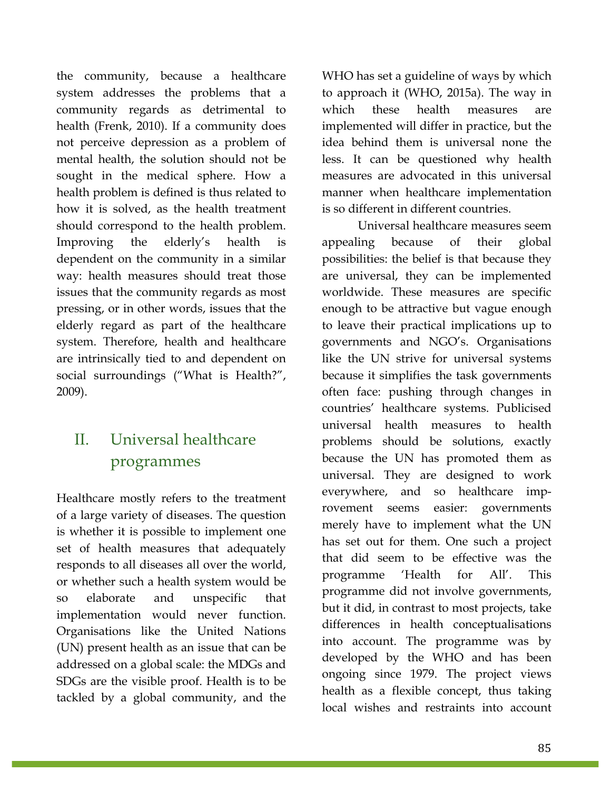the community, because a healthcare system addresses the problems that a community regards as detrimental to health (Frenk, 2010). If a community does not perceive depression as a problem of mental health, the solution should not be sought in the medical sphere. How a health problem is defined is thus related to how it is solved, as the health treatment should correspond to the health problem. Improving the elderly's health is dependent on the community in a similar way: health measures should treat those issues that the community regards as most pressing, or in other words, issues that the elderly regard as part of the healthcare system. Therefore, health and healthcare are intrinsically tied to and dependent on social surroundings ("What is Health?", 2009).

# II. Universal healthcare programmes

Healthcare mostly refers to the treatment of a large variety of diseases. The question is whether it is possible to implement one set of health measures that adequately responds to all diseases all over the world, or whether such a health system would be so elaborate and unspecific that implementation would never function. Organisations like the United Nations (UN) present health as an issue that can be addressed on a global scale: the MDGs and SDGs are the visible proof. Health is to be tackled by a global community, and the WHO has set a guideline of ways by which to approach it (WHO, 2015a). The way in which these health measures are implemented will differ in practice, but the idea behind them is universal none the less. It can be questioned why health measures are advocated in this universal manner when healthcare implementation is so different in different countries.

Universal healthcare measures seem appealing because of their global possibilities: the belief is that because they are universal, they can be implemented worldwide. These measures are specific enough to be attractive but vague enough to leave their practical implications up to governments and NGO's. Organisations like the UN strive for universal systems because it simplifies the task governments often face: pushing through changes in countries' healthcare systems. Publicised universal health measures to health problems should be solutions, exactly because the UN has promoted them as universal. They are designed to work everywhere, and so healthcare improvement seems easier: governments merely have to implement what the UN has set out for them. One such a project that did seem to be effective was the programme 'Health for All'. This programme did not involve governments, but it did, in contrast to most projects, take differences in health conceptualisations into account. The programme was by developed by the WHO and has been ongoing since 1979. The project views health as a flexible concept, thus taking local wishes and restraints into account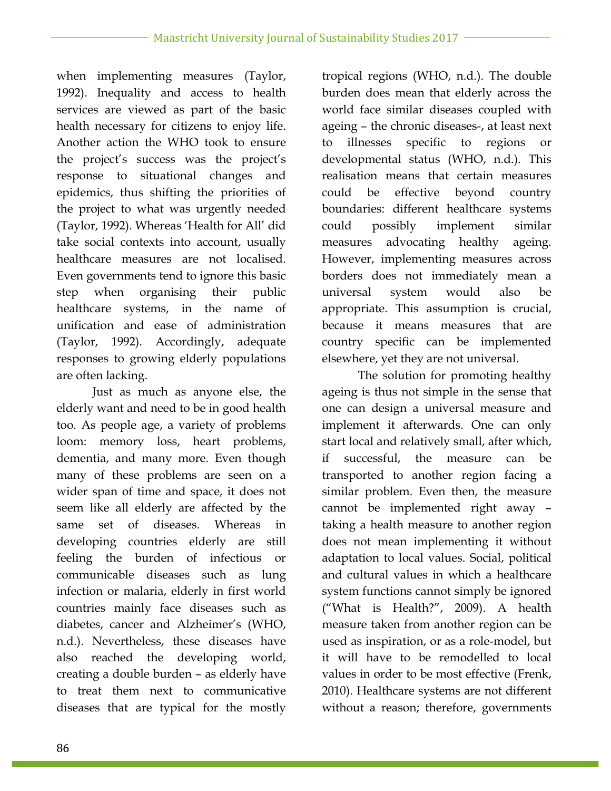when implementing measures (Taylor, 1992). Inequality and access to health services are viewed as part of the basic health necessary for citizens to enjoy life. Another action the WHO took to ensure the project's success was the project's response to situational changes and epidemics, thus shifting the priorities of the project to what was urgently needed (Taylor, 1992). Whereas 'Health for All' did take social contexts into account, usually healthcare measures are not localised. Even governments tend to ignore this basic step when organising their public healthcare systems, in the name of unification and ease of administration (Taylor, 1992). Accordingly, adequate responses to growing elderly populations are often lacking.

Just as much as anyone else, the elderly want and need to be in good health too. As people age, a variety of problems loom: memory loss, heart problems, dementia, and many more. Even though many of these problems are seen on a wider span of time and space, it does not seem like all elderly are affected by the same set of diseases. Whereas in developing countries elderly are still feeling the burden of infectious or communicable diseases such as lung infection or malaria, elderly in first world countries mainly face diseases such as diabetes, cancer and Alzheimer's (WHO, n.d.). Nevertheless, these diseases have also reached the developing world, creating a double burden – as elderly have to treat them next to communicative diseases that are typical for the mostly

tropical regions (WHO, n.d.). The double burden does mean that elderly across the world face similar diseases coupled with ageing – the chronic diseases-, at least next to illnesses specific to regions or developmental status (WHO, n.d.). This realisation means that certain measures could be effective beyond country boundaries: different healthcare systems could possibly implement similar measures advocating healthy ageing. However, implementing measures across borders does not immediately mean a universal system would also be appropriate. This assumption is crucial, because it means measures that are country specific can be implemented elsewhere, yet they are not universal.

The solution for promoting healthy ageing is thus not simple in the sense that one can design a universal measure and implement it afterwards. One can only start local and relatively small, after which, if successful, the measure can be transported to another region facing a similar problem. Even then, the measure cannot be implemented right away – taking a health measure to another region does not mean implementing it without adaptation to local values. Social, political and cultural values in which a healthcare system functions cannot simply be ignored ("What is Health?", 2009). A health measure taken from another region can be used as inspiration, or as a role-model, but it will have to be remodelled to local values in order to be most effective (Frenk, 2010). Healthcare systems are not different without a reason; therefore, governments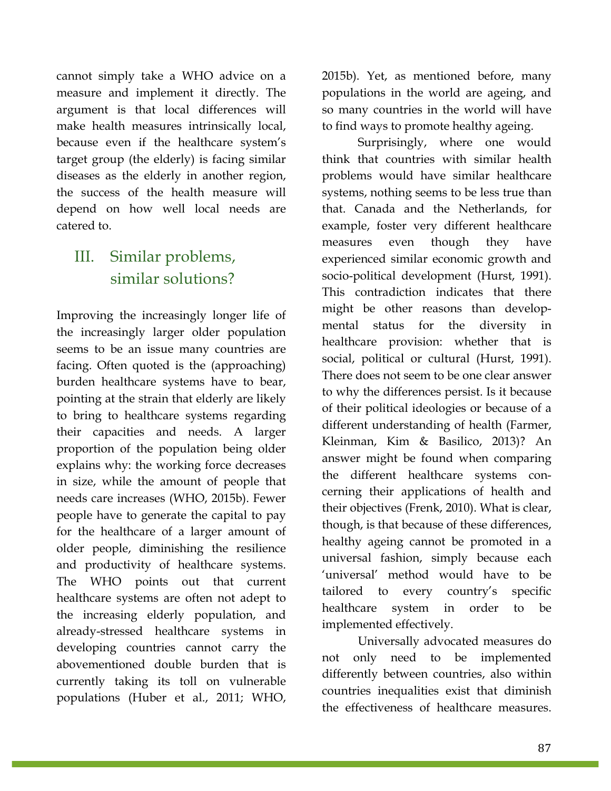cannot simply take a WHO advice on a measure and implement it directly. The argument is that local differences will make health measures intrinsically local, because even if the healthcare system's target group (the elderly) is facing similar diseases as the elderly in another region, the success of the health measure will depend on how well local needs are catered to.

#### III. Similar problems, similar solutions?

Improving the increasingly longer life of the increasingly larger older population seems to be an issue many countries are facing. Often quoted is the (approaching) burden healthcare systems have to bear, pointing at the strain that elderly are likely to bring to healthcare systems regarding their capacities and needs. A larger proportion of the population being older explains why: the working force decreases in size, while the amount of people that needs care increases (WHO, 2015b). Fewer people have to generate the capital to pay for the healthcare of a larger amount of older people, diminishing the resilience and productivity of healthcare systems. The WHO points out that current healthcare systems are often not adept to the increasing elderly population, and already-stressed healthcare systems in developing countries cannot carry the abovementioned double burden that is currently taking its toll on vulnerable populations (Huber et al., 2011; WHO, 2015b). Yet, as mentioned before, many populations in the world are ageing, and so many countries in the world will have to find ways to promote healthy ageing.

Surprisingly, where one would think that countries with similar health problems would have similar healthcare systems, nothing seems to be less true than that. Canada and the Netherlands, for example, foster very different healthcare measures even though they have experienced similar economic growth and socio-political development (Hurst, 1991). This contradiction indicates that there might be other reasons than developmental status for the diversity in healthcare provision: whether that is social, political or cultural (Hurst, 1991). There does not seem to be one clear answer to why the differences persist. Is it because of their political ideologies or because of a different understanding of health (Farmer, Kleinman, Kim & Basilico, 2013)? An answer might be found when comparing the different healthcare systems concerning their applications of health and their objectives (Frenk, 2010). What is clear, though, is that because of these differences, healthy ageing cannot be promoted in a universal fashion, simply because each 'universal' method would have to be tailored to every country's specific healthcare system in order to be implemented effectively.

Universally advocated measures do not only need to be implemented differently between countries, also within countries inequalities exist that diminish the effectiveness of healthcare measures.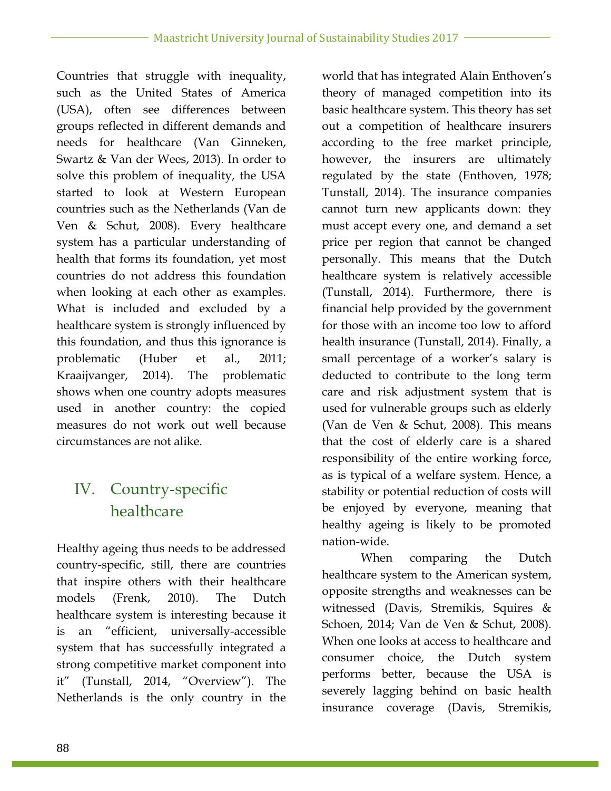Countries that struggle with inequality, such as the United States of America (USA), often see differences between groups reflected in different demands and needs for healthcare (Van Ginneken, Swartz & Van der Wees, 2013). In order to solve this problem of inequality, the USA started to look at Western European countries such as the Netherlands (Van de Ven & Schut, 2008). Every healthcare system has a particular understanding of health that forms its foundation, yet most countries do not address this foundation when looking at each other as examples. What is included and excluded by a healthcare system is strongly influenced by this foundation, and thus this ignorance is problematic (Huber et al., 2011; Kraaijvanger, 2014). The problematic shows when one country adopts measures used in another country: the copied measures do not work out well because circumstances are not alike.

## IV. Country-specific healthcare

Healthy ageing thus needs to be addressed country-specific, still, there are countries that inspire others with their healthcare models (Frenk, 2010). The Dutch healthcare system is interesting because it is an "efficient, universally-accessible system that has successfully integrated a strong competitive market component into it" (Tunstall, 2014, "Overview"). The Netherlands is the only country in the

world that has integrated Alain Enthoven's theory of managed competition into its basic healthcare system. This theory has set out a competition of healthcare insurers according to the free market principle, however, the insurers are ultimately regulated by the state (Enthoven, 1978; Tunstall, 2014). The insurance companies cannot turn new applicants down: they must accept every one, and demand a set price per region that cannot be changed personally. This means that the Dutch healthcare system is relatively accessible (Tunstall, 2014). Furthermore, there is financial help provided by the government for those with an income too low to afford health insurance (Tunstall, 2014). Finally, a small percentage of a worker's salary is deducted to contribute to the long term care and risk adjustment system that is used for vulnerable groups such as elderly (Van de Ven & Schut, 2008). This means that the cost of elderly care is a shared responsibility of the entire working force, as is typical of a welfare system. Hence, a stability or potential reduction of costs will be enjoyed by everyone, meaning that healthy ageing is likely to be promoted nation-wide.

When comparing the Dutch healthcare system to the American system, opposite strengths and weaknesses can be witnessed (Davis, Stremikis, Squires & Schoen, 2014; Van de Ven & Schut, 2008). When one looks at access to healthcare and consumer choice, the Dutch system performs better, because the USA is severely lagging behind on basic health insurance coverage (Davis, Stremikis,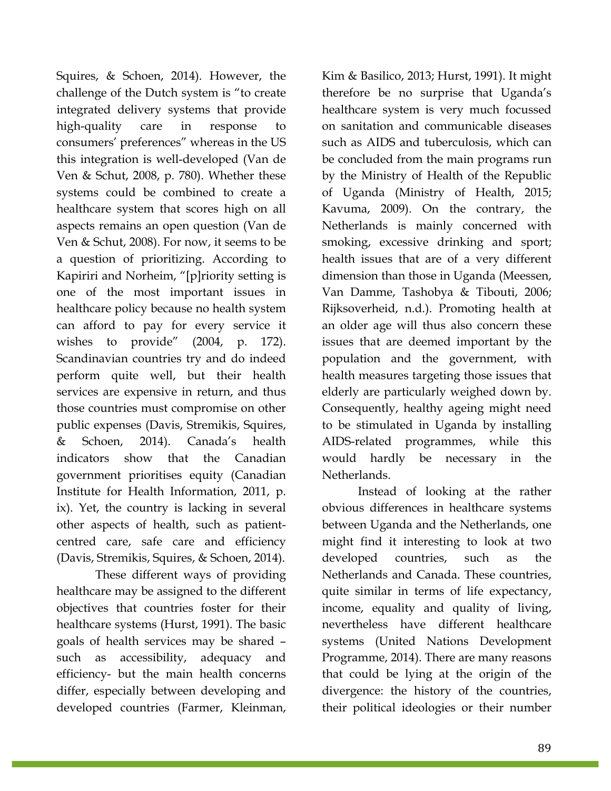Squires, & Schoen, 2014). However, the challenge of the Dutch system is "to create integrated delivery systems that provide high-quality care in response to consumers' preferences" whereas in the US this integration is well-developed (Van de Ven & Schut, 2008, p. 780). Whether these systems could be combined to create a healthcare system that scores high on all aspects remains an open question (Van de Ven & Schut, 2008). For now, it seems to be a question of prioritizing. According to Kapiriri and Norheim, "[p]riority setting is one of the most important issues in healthcare policy because no health system can afford to pay for every service it wishes to provide" (2004, p. 172). Scandinavian countries try and do indeed perform quite well, but their health services are expensive in return, and thus those countries must compromise on other public expenses (Davis, Stremikis, Squires, & Schoen, 2014). Canada's health indicators show that the Canadian government prioritises equity (Canadian Institute for Health Information, 2011, p. ix). Yet, the country is lacking in several other aspects of health, such as patientcentred care, safe care and efficiency (Davis, Stremikis, Squires, & Schoen, 2014).

These different ways of providing healthcare may be assigned to the different objectives that countries foster for their healthcare systems (Hurst, 1991). The basic goals of health services may be shared – such as accessibility, adequacy and efficiency- but the main health concerns differ, especially between developing and developed countries (Farmer, Kleinman,

Kim & Basilico, 2013; Hurst, 1991). It might therefore be no surprise that Uganda's healthcare system is very much focussed on sanitation and communicable diseases such as AIDS and tuberculosis, which can be concluded from the main programs run by the Ministry of Health of the Republic of Uganda (Ministry of Health, 2015; Kavuma, 2009). On the contrary, the Netherlands is mainly concerned with smoking, excessive drinking and sport; health issues that are of a very different dimension than those in Uganda (Meessen, Van Damme, Tashobya & Tibouti, 2006; Rijksoverheid, n.d.). Promoting health at an older age will thus also concern these issues that are deemed important by the population and the government, with health measures targeting those issues that elderly are particularly weighed down by. Consequently, healthy ageing might need to be stimulated in Uganda by installing AIDS-related programmes, while this would hardly be necessary in the Netherlands.

Instead of looking at the rather obvious differences in healthcare systems between Uganda and the Netherlands, one might find it interesting to look at two developed countries, such as the Netherlands and Canada. These countries, quite similar in terms of life expectancy, income, equality and quality of living, nevertheless have different healthcare systems (United Nations Development Programme, 2014). There are many reasons that could be lying at the origin of the divergence: the history of the countries, their political ideologies or their number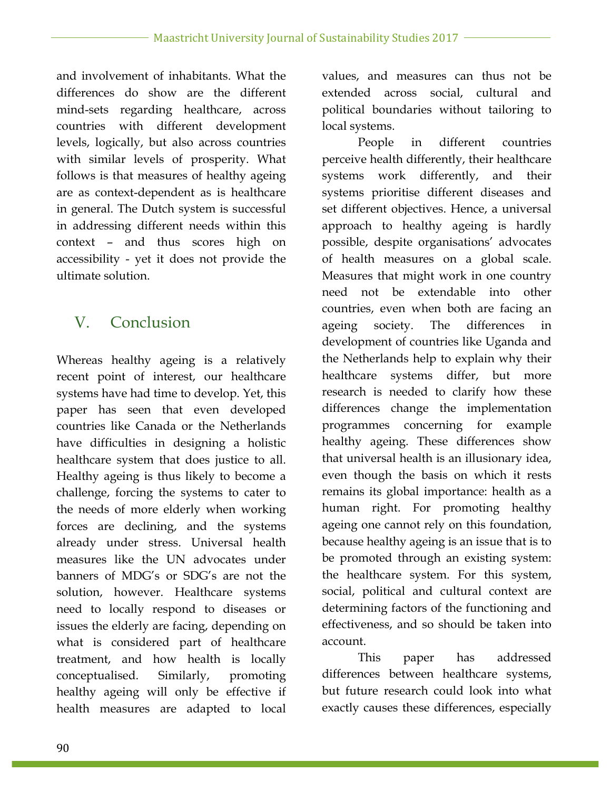and involvement of inhabitants. What the differences do show are the different mind-sets regarding healthcare, across countries with different development levels, logically, but also across countries with similar levels of prosperity. What follows is that measures of healthy ageing are as context-dependent as is healthcare in general. The Dutch system is successful in addressing different needs within this context – and thus scores high on accessibility - yet it does not provide the ultimate solution.

### V. Conclusion

Whereas healthy ageing is a relatively recent point of interest, our healthcare systems have had time to develop. Yet, this paper has seen that even developed countries like Canada or the Netherlands have difficulties in designing a holistic healthcare system that does justice to all. Healthy ageing is thus likely to become a challenge, forcing the systems to cater to the needs of more elderly when working forces are declining, and the systems already under stress. Universal health measures like the UN advocates under banners of MDG's or SDG's are not the solution, however. Healthcare systems need to locally respond to diseases or issues the elderly are facing, depending on what is considered part of healthcare treatment, and how health is locally conceptualised. Similarly, promoting healthy ageing will only be effective if health measures are adapted to local values, and measures can thus not be extended across social, cultural and political boundaries without tailoring to local systems.

People in different countries perceive health differently, their healthcare systems work differently, and their systems prioritise different diseases and set different objectives. Hence, a universal approach to healthy ageing is hardly possible, despite organisations' advocates of health measures on a global scale. Measures that might work in one country need not be extendable into other countries, even when both are facing an ageing society. The differences in development of countries like Uganda and the Netherlands help to explain why their healthcare systems differ, but more research is needed to clarify how these differences change the implementation programmes concerning for example healthy ageing. These differences show that universal health is an illusionary idea, even though the basis on which it rests remains its global importance: health as a human right. For promoting healthy ageing one cannot rely on this foundation, because healthy ageing is an issue that is to be promoted through an existing system: the healthcare system. For this system, social, political and cultural context are determining factors of the functioning and effectiveness, and so should be taken into account.

This paper has addressed differences between healthcare systems, but future research could look into what exactly causes these differences, especially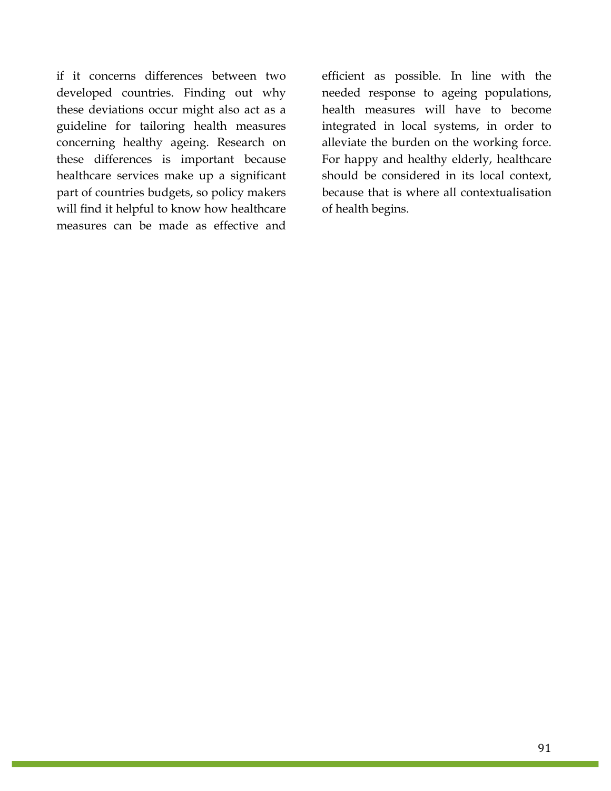if it concerns differences between two developed countries. Finding out why these deviations occur might also act as a guideline for tailoring health measures concerning healthy ageing. Research on these differences is important because healthcare services make up a significant part of countries budgets, so policy makers will find it helpful to know how healthcare measures can be made as effective and

efficient as possible. In line with the needed response to ageing populations, health measures will have to become integrated in local systems, in order to alleviate the burden on the working force. For happy and healthy elderly, healthcare should be considered in its local context, because that is where all contextualisation of health begins.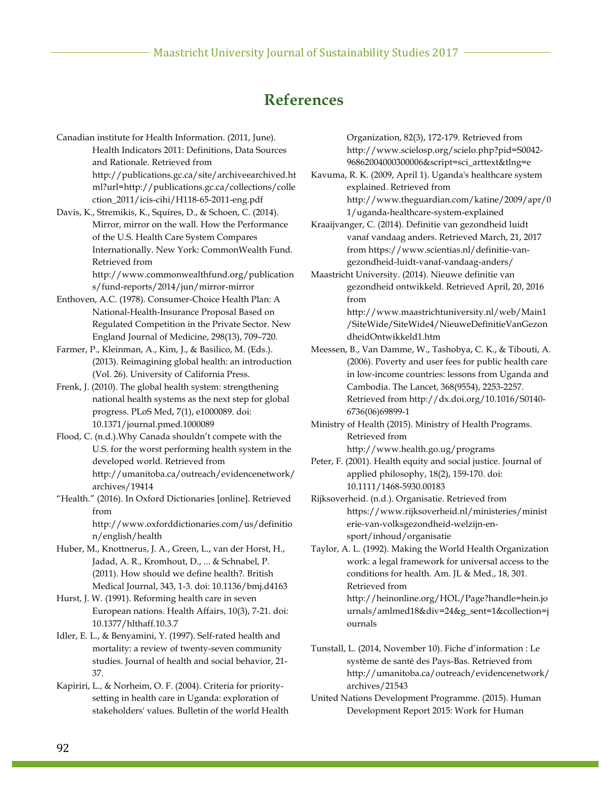#### **References**

Canadian institute for Health Information. (2011, June). Health Indicators 2011: Definitions, Data Sources and Rationale. Retrieved from http://publications.gc.ca/site/archiveearchived.ht ml?url=http://publications.gc.ca/collections/colle ction\_2011/icis-cihi/H118-65-2011-eng.pdf

Davis, K., Stremikis, K., Squires, D., & Schoen, C. (2014). Mirror, mirror on the wall. How the Performance of the U.S. Health Care System Compares Internationally. New York: CommonWealth Fund. Retrieved from

http://www.commonwealthfund.org/publication s/fund-reports/2014/jun/mirror-mirror

Enthoven, A.C. (1978). Consumer-Choice Health Plan: A National-Health-Insurance Proposal Based on Regulated Competition in the Private Sector. New England Journal of Medicine, 298(13), 709–720.

Farmer, P., Kleinman, A., Kim, J., & Basilico, M. (Eds.). (2013). Reimagining global health: an introduction (Vol. 26). University of California Press.

Frenk, J. (2010). The global health system: strengthening national health systems as the next step for global progress. PLoS Med, 7(1), e1000089. doi: 10.1371/journal.pmed.1000089

Flood, C. (n.d.).Why Canada shouldn't compete with the U.S. for the worst performing health system in the developed world. Retrieved from http://umanitoba.ca/outreach/evidencenetwork/ archives/19414

"Health." (2016). In Oxford Dictionaries [online]. Retrieved from http://www.oxforddictionaries.com/us/definitio n/english/health

Huber, M., Knottnerus, J. A., Green, L., van der Horst, H., Jadad, A. R., Kromhout, D., ... & Schnabel, P. (2011). How should we define health?. British Medical Journal, 343, 1-3. doi: 10.1136/bmj.d4163

Hurst, J. W. (1991). Reforming health care in seven European nations. Health Affairs, 10(3), 7-21. doi: 10.1377/hlthaff.10.3.7

Idler, E. L., & Benyamini, Y. (1997). Self-rated health and mortality: a review of twenty-seven community studies. Journal of health and social behavior, 21- 37.

Kapiriri, L., & Norheim, O. F. (2004). Criteria for prioritysetting in health care in Uganda: exploration of stakeholders' values. Bulletin of the world Health

Organization, 82(3), 172-179. Retrieved from http://www.scielosp.org/scielo.php?pid=S0042- 96862004000300006&script=sci\_arttext&tlng=e

Kavuma, R. K. (2009, April 1). Uganda's healthcare system explained. Retrieved from http://www.theguardian.com/katine/2009/apr/0 1/uganda-healthcare-system-explained

Kraaijvanger, C. (2014). Definitie van gezondheid luidt vanaf vandaag anders. Retrieved March, 21, 2017 from https://www.scientias.nl/definitie-vangezondheid-luidt-vanaf-vandaag-anders/

Maastricht University. (2014). Nieuwe definitie van gezondheid ontwikkeld. Retrieved April, 20, 2016 from

> http://www.maastrichtuniversity.nl/web/Main1 /SiteWide/SiteWide4/NieuweDefinitieVanGezon dheidOntwikkeld1.htm

Meessen, B., Van Damme, W., Tashobya, C. K., & Tibouti, A. (2006). Poverty and user fees for public health care in low-income countries: lessons from Uganda and Cambodia. The Lancet, 368(9554), 2253-2257. Retrieved from http://dx.doi.org/10.1016/S0140- 6736(06)69899-1

Ministry of Health (2015). Ministry of Health Programs. Retrieved from http://www.health.go.ug/programs

Peter, F. (2001). Health equity and social justice. Journal of applied philosophy, 18(2), 159-170. doi: 10.1111/1468-5930.00183

Rijksoverheid. (n.d.). Organisatie. Retrieved from https://www.rijksoverheid.nl/ministeries/minist erie-van-volksgezondheid-welzijn-ensport/inhoud/organisatie

Taylor, A. L. (1992). Making the World Health Organization work: a legal framework for universal access to the conditions for health. Am. JL & Med., 18, 301. Retrieved from http://heinonline.org/HOL/Page?handle=hein.jo urnals/amlmed18&div=24&g\_sent=1&collection=j ournals

Tunstall, L. (2014, November 10). Fiche d'information : Le système de santé des Pays-Bas. Retrieved from http://umanitoba.ca/outreach/evidencenetwork/ archives/21543

United Nations Development Programme. (2015). Human Development Report 2015: Work for Human